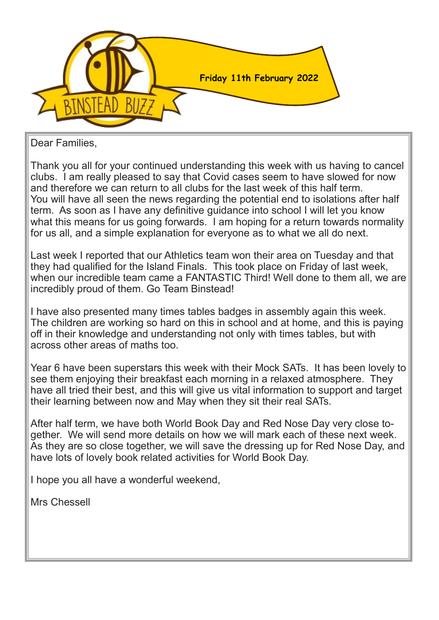

Dear Families,

Thank you all for your continued understanding this week with us having to cancel clubs. I am really pleased to say that Covid cases seem to have slowed for now and therefore we can return to all clubs for the last week of this half term. You will have all seen the news regarding the potential end to isolations after half term. As soon as I have any definitive guidance into school I will let you know what this means for us going forwards. I am hoping for a return towards normality for us all, and a simple explanation for everyone as to what we all do next.

Last week I reported that our Athletics team won their area on Tuesday and that they had qualified for the Island Finals. This took place on Friday of last week, when our incredible team came a FANTASTIC Third! Well done to them all, we are incredibly proud of them. Go Team Binstead!

I have also presented many times tables badges in assembly again this week. The children are working so hard on this in school and at home, and this is paying off in their knowledge and understanding not only with times tables, but with across other areas of maths too.

Year 6 have been superstars this week with their Mock SATs. It has been lovely to see them enjoying their breakfast each morning in a relaxed atmosphere. They have all tried their best, and this will give us vital information to support and target their learning between now and May when they sit their real SATs.

After half term, we have both World Book Day and Red Nose Day very close together. We will send more details on how we will mark each of these next week. As they are so close together, we will save the dressing up for Red Nose Day, and have lots of lovely book related activities for World Book Day.

I hope you all have a wonderful weekend,

Mrs Chessell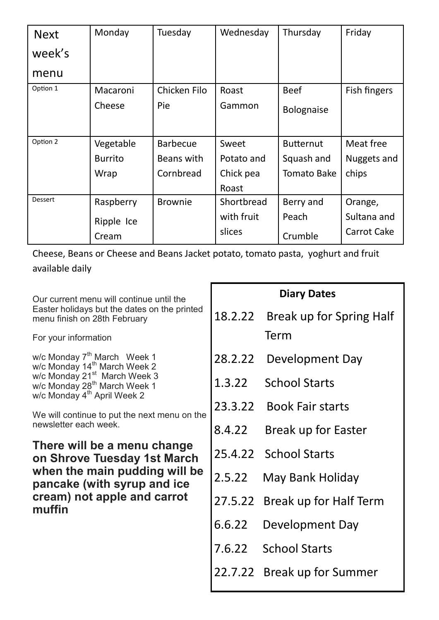| <b>Next</b>    | Monday         | Tuesday         | Wednesday  | Thursday         | Friday       |
|----------------|----------------|-----------------|------------|------------------|--------------|
| week's         |                |                 |            |                  |              |
| menu           |                |                 |            |                  |              |
| Option 1       | Macaroni       | Chicken Filo    | Roast      | <b>Beef</b>      | Fish fingers |
|                | Cheese         | Pie             | Gammon     | Bolognaise       |              |
|                |                |                 |            |                  |              |
| Option 2       | Vegetable      | <b>Barbecue</b> | Sweet      | <b>Butternut</b> | Meat free    |
|                | <b>Burrito</b> | Beans with      | Potato and | Squash and       | Nuggets and  |
|                | Wrap           | Cornbread       | Chick pea  | Tomato Bake      | chips        |
|                |                |                 | Roast      |                  |              |
| <b>Dessert</b> | Raspberry      | <b>Brownie</b>  | Shortbread | Berry and        | Orange,      |
|                | Ripple Ice     |                 | with fruit | Peach            | Sultana and  |
|                | Cream          |                 | slices     | Crumble          | Carrot Cake  |

Cheese, Beans or Cheese and Beans Jacket potato, tomato pasta, yoghurt and fruit available daily

Г

| Our current menu will continue until the                                                                                        | <b>Diary Dates</b> |                                |  |
|---------------------------------------------------------------------------------------------------------------------------------|--------------------|--------------------------------|--|
| Easter holidays but the dates on the printed<br>menu finish on 28th February                                                    | 18.2.22            | Break up for Spring Half       |  |
| For your information                                                                                                            |                    | Term                           |  |
| w/c Monday $7^{th}$ March Week 1<br>w/c Monday 14 <sup>th</sup> March Week 2                                                    |                    | 28.2.22 Development Day        |  |
| w/c Monday 21 <sup>st</sup> March Week 3<br>w/c Monday 28 <sup>th</sup> March Week 1<br>w/c Monday 4 <sup>th</sup> April Week 2 | 1.3.22             | <b>School Starts</b>           |  |
| We will continue to put the next menu on the                                                                                    |                    | 23.3.22 Book Fair starts       |  |
| newsletter each week.                                                                                                           | 8.4.22             | Break up for Easter            |  |
| There will be a menu change<br>on Shrove Tuesday 1st March                                                                      |                    | 25.4.22 School Starts          |  |
| when the main pudding will be<br>pancake (with syrup and ice                                                                    | 2.5.22             | May Bank Holiday               |  |
| cream) not apple and carrot<br>muffin                                                                                           |                    | 27.5.22 Break up for Half Term |  |
|                                                                                                                                 | 6.6.22             | Development Day                |  |
|                                                                                                                                 |                    | 7.6.22 School Starts           |  |
|                                                                                                                                 | 22.7.22            | Break up for Summer            |  |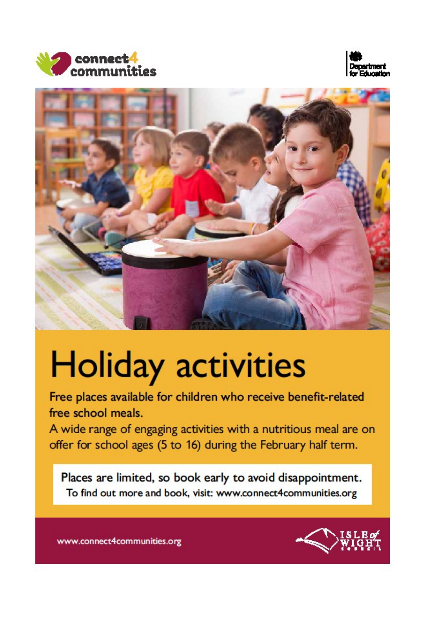





# **Holiday activities**

Free places available for children who receive benefit-related free school meals.

A wide range of engaging activities with a nutritious meal are on offer for school ages (5 to 16) during the February half term.

Places are limited, so book early to avoid disappointment. To find out more and book, visit: www.connect4communities.org



www.connect4communities.org